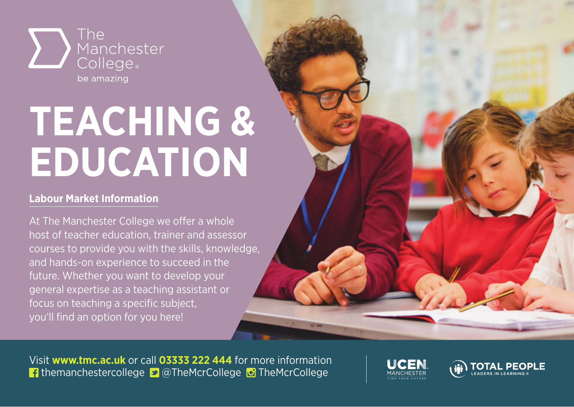

## **TEACHING & EDUCATION**

## **Labour Market Information**

At The Manchester College we offer a whole host of teacher education, trainer and assessor courses to provide you with the skills, knowledge, and hands-on experience to succeed in the future. Whether you want to develop your general expertise as a teaching assistant or focus on teaching a specific subject, you'll find an option for you here!

Visit **www.tmc.ac.uk** or call **03333 222 444** for more information **f** themanchestercollege **D** @TheMcrCollege **D** TheMcrCollege